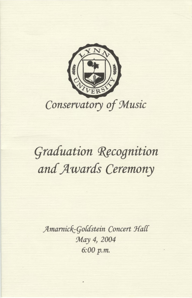

## **Graduation Recognition** and Awards Ceremony

Amarnick-Goldstein Concert Hall May 4, 2004 6:00 p.m.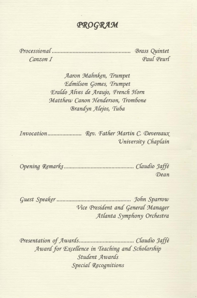PROGRAM

Canzon I

Paul Peurl

Aaron Mahnken, Trumpet Edmilson Gomes, Trumpet Eraldo Alves de Araujo, French Horn Matthew Canon Henderson, Trombone Brandyn Alejos, Tuba

University Chaplain

Dean

Vice President and General Manager Atlanta Symphony Orchestra

Award for Excellence in Teaching and Scholarship Student Awards **Special Recognitions**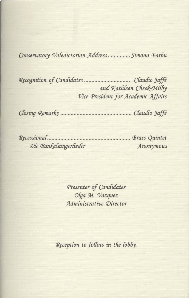Conservatory Valedictorian Address............... Simona Barbu

and Kathleen Cheek-Milby Vice President for Academic Affairs

Die Bankelsangerlieder Anonymous

> Presenter of Candidates Olga M. Vazquez Administrative Director

Reception to follow in the lobby.